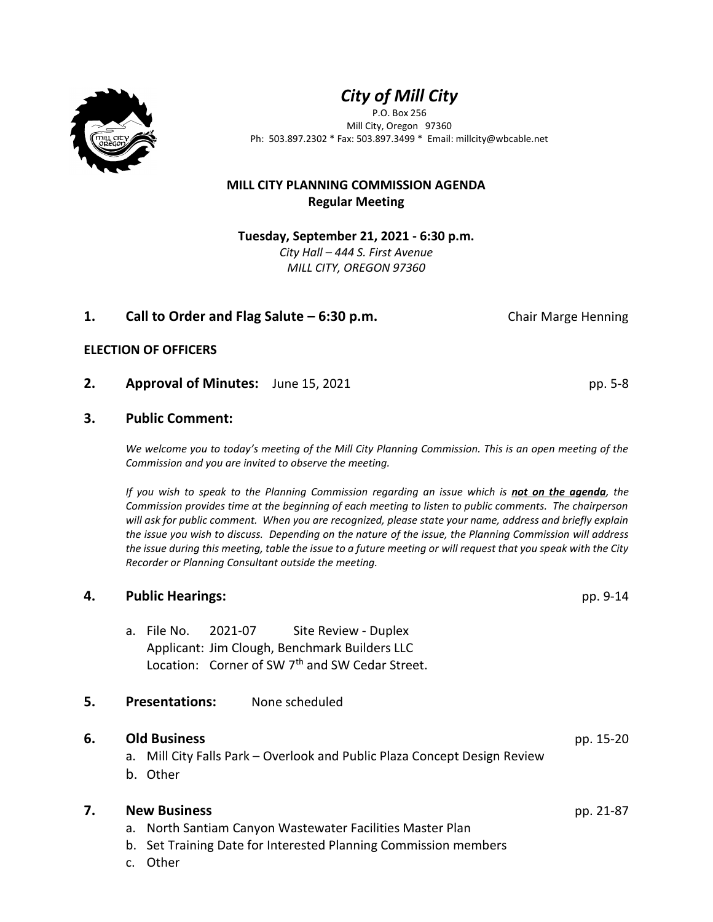



P.O. Box 256 Mill City, Oregon 97360 Ph: 503.897.2302 \* Fax: 503.897.3499 \* Email: millcity@wbcable.net

# **MILL CITY PLANNING COMMISSION AGENDA Regular Meeting**

**Tuesday, September 21, 2021 - 6:30 p.m.** *City Hall – 444 S. First Avenue MILL CITY, OREGON 97360*

# **1. 1. Call to Order and Flag Salute – 6:30 p.m.** Chair Marge Henning

# **ELECTION OF OFFICERS**

# **2. Approval of Minutes:** June 15, 2021 **pp. 5-8** pp. 5-8

# **3. Public Comment:**

*We welcome you to today's meeting of the Mill City Planning Commission. This is an open meeting of the Commission and you are invited to observe the meeting.* 

*If you wish to speak to the Planning Commission regarding an issue which is not on the agenda, the Commission provides time at the beginning of each meeting to listen to public comments. The chairperson will ask for public comment. When you are recognized, please state your name, address and briefly explain the issue you wish to discuss. Depending on the nature of the issue, the Planning Commission will address the issue during this meeting, table the issue to a future meeting or will request that you speak with the City Recorder or Planning Consultant outside the meeting.*

# **4. Public Hearings:** pp. 9-14

a. File No. 2021-07 Site Review - Duplex Applicant: Jim Clough, Benchmark Builders LLC Location: Corner of SW 7<sup>th</sup> and SW Cedar Street.

# **5. Presentations:** None scheduled

# **6. Old Business** pp. 15-20

a. Mill City Falls Park – Overlook and Public Plaza Concept Design Review

b. Other

# **7. New Business** pp. 21-87

- a. North Santiam Canyon Wastewater Facilities Master Plan
- b. Set Training Date for Interested Planning Commission members
- c. Other